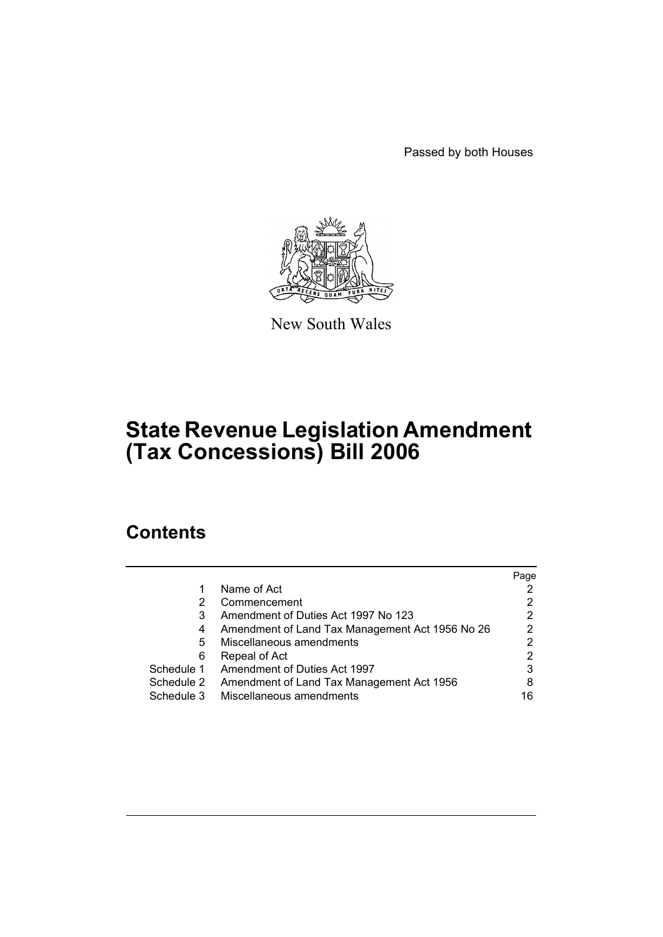Passed by both Houses



New South Wales

# **State Revenue Legislation Amendment (Tax Concessions) Bill 2006**

# **Contents**

|            |                                                 | Page |
|------------|-------------------------------------------------|------|
| 1          | Name of Act                                     |      |
| 2          | Commencement                                    |      |
| 3          | Amendment of Duties Act 1997 No 123             | 2    |
| 4          | Amendment of Land Tax Management Act 1956 No 26 | 2    |
| 5          | Miscellaneous amendments                        | 2    |
| 6          | Repeal of Act                                   |      |
| Schedule 1 | Amendment of Duties Act 1997                    | 3    |
| Schedule 2 | Amendment of Land Tax Management Act 1956       | 8    |
| Schedule 3 | Miscellaneous amendments                        | 16   |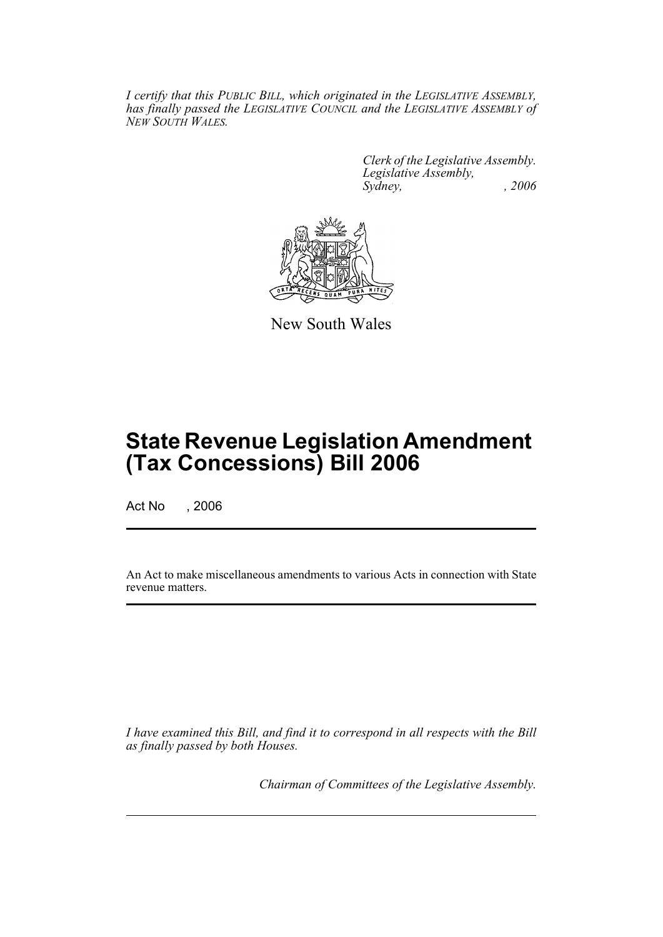*I certify that this PUBLIC BILL, which originated in the LEGISLATIVE ASSEMBLY, has finally passed the LEGISLATIVE COUNCIL and the LEGISLATIVE ASSEMBLY of NEW SOUTH WALES.*

> *Clerk of the Legislative Assembly. Legislative Assembly, Sydney, , 2006*



New South Wales

# **State Revenue Legislation Amendment (Tax Concessions) Bill 2006**

Act No , 2006

An Act to make miscellaneous amendments to various Acts in connection with State revenue matters.

*I have examined this Bill, and find it to correspond in all respects with the Bill as finally passed by both Houses.*

*Chairman of Committees of the Legislative Assembly.*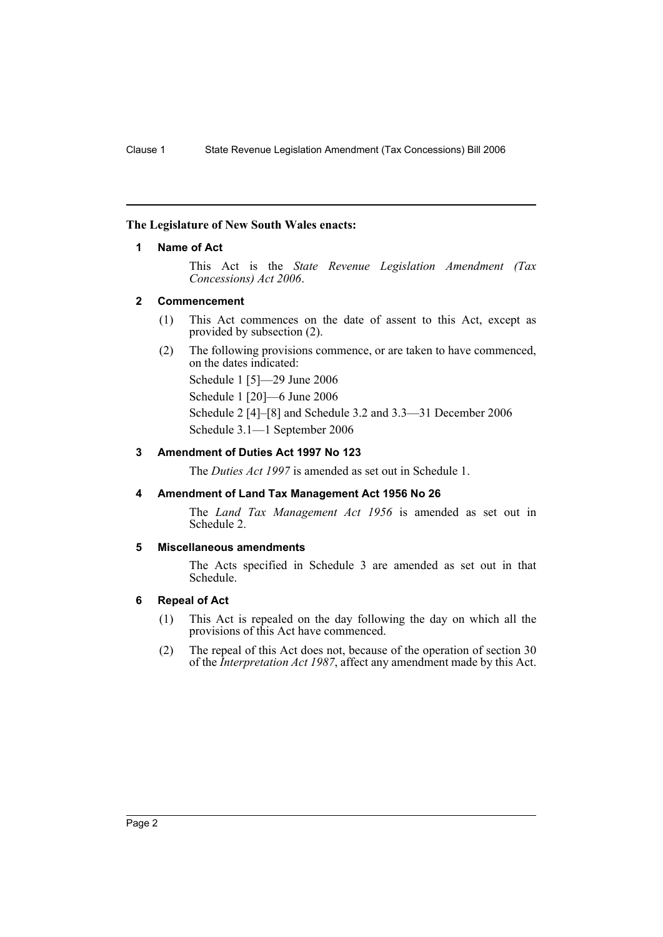## **The Legislature of New South Wales enacts:**

# **1 Name of Act**

This Act is the *State Revenue Legislation Amendment (Tax Concessions) Act 2006*.

## **2 Commencement**

- (1) This Act commences on the date of assent to this Act, except as provided by subsection (2).
- (2) The following provisions commence, or are taken to have commenced, on the dates indicated:

Schedule 1 [5]—29 June 2006

Schedule 1 [20]—6 June 2006

Schedule 2 [4]–[8] and Schedule 3.2 and 3.3—31 December 2006 Schedule 3.1—1 September 2006

# **3 Amendment of Duties Act 1997 No 123**

The *Duties Act 1997* is amended as set out in Schedule 1.

# **4 Amendment of Land Tax Management Act 1956 No 26**

The *Land Tax Management Act 1956* is amended as set out in Schedule 2.

#### **5 Miscellaneous amendments**

The Acts specified in Schedule 3 are amended as set out in that Schedule.

# **6 Repeal of Act**

- (1) This Act is repealed on the day following the day on which all the provisions of this Act have commenced.
- (2) The repeal of this Act does not, because of the operation of section 30 of the *Interpretation Act 1987*, affect any amendment made by this Act.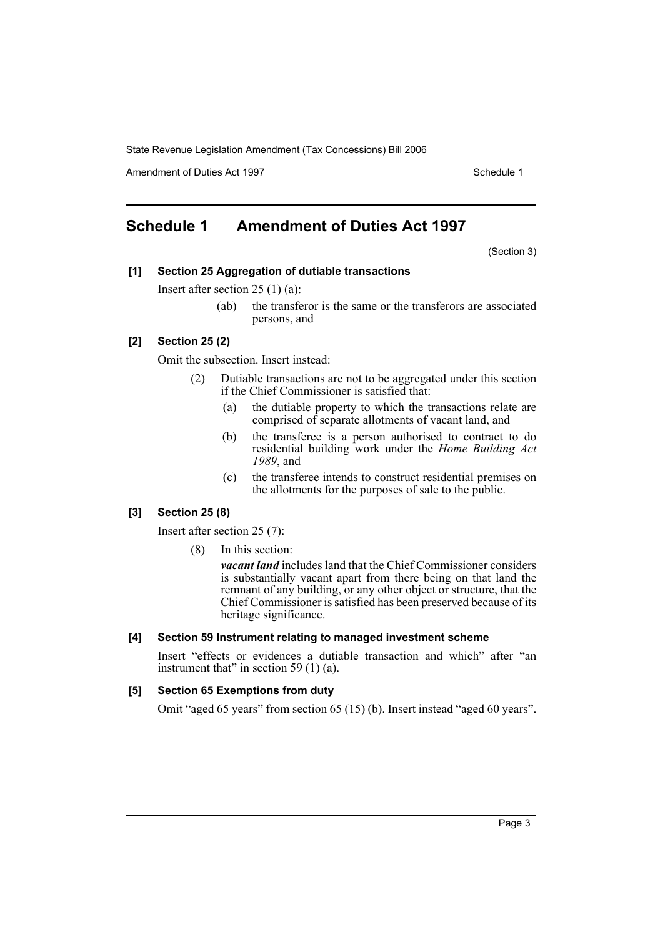Amendment of Duties Act 1997 November 2008 and the Schedule 1

# **Schedule 1 Amendment of Duties Act 1997**

(Section 3)

## **[1] Section 25 Aggregation of dutiable transactions**

Insert after section 25 (1) (a):

(ab) the transferor is the same or the transferors are associated persons, and

#### **[2] Section 25 (2)**

Omit the subsection. Insert instead:

- (2) Dutiable transactions are not to be aggregated under this section if the Chief Commissioner is satisfied that:
	- (a) the dutiable property to which the transactions relate are comprised of separate allotments of vacant land, and
	- (b) the transferee is a person authorised to contract to do residential building work under the *Home Building Act 1989*, and
	- (c) the transferee intends to construct residential premises on the allotments for the purposes of sale to the public.

# **[3] Section 25 (8)**

Insert after section 25 (7):

(8) In this section:

*vacant land* includes land that the Chief Commissioner considers is substantially vacant apart from there being on that land the remnant of any building, or any other object or structure, that the Chief Commissioner is satisfied has been preserved because of its heritage significance.

#### **[4] Section 59 Instrument relating to managed investment scheme**

Insert "effects or evidences a dutiable transaction and which" after "an instrument that" in section 59 $(1)$  $(a)$ .

#### **[5] Section 65 Exemptions from duty**

Omit "aged 65 years" from section 65 (15) (b). Insert instead "aged 60 years".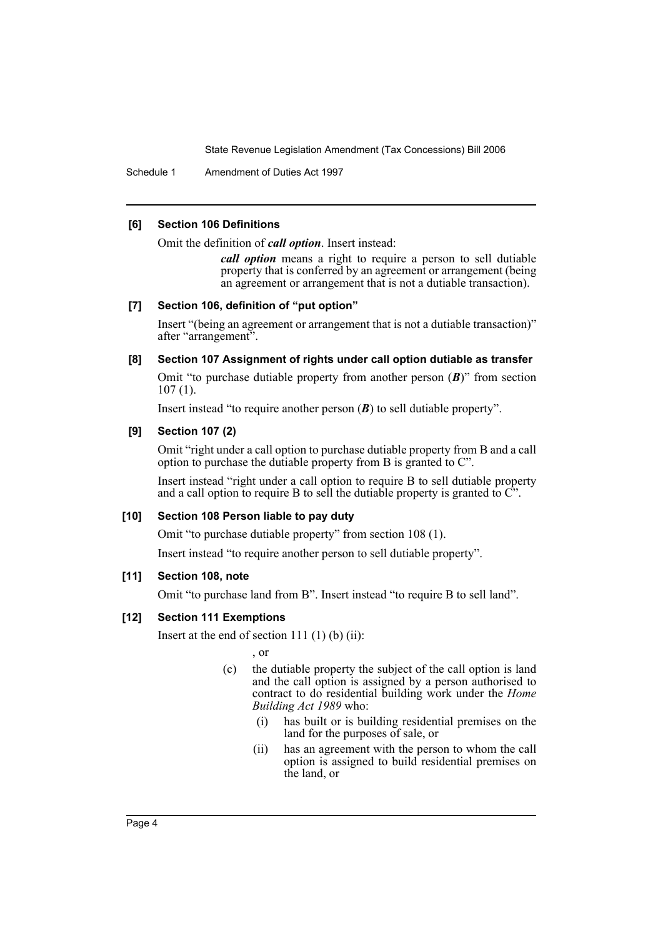Schedule 1 Amendment of Duties Act 1997

# **[6] Section 106 Definitions**

Omit the definition of *call option*. Insert instead:

*call option* means a right to require a person to sell dutiable property that is conferred by an agreement or arrangement (being an agreement or arrangement that is not a dutiable transaction).

# **[7] Section 106, definition of "put option"**

Insert "(being an agreement or arrangement that is not a dutiable transaction)" after "arrangement".

## **[8] Section 107 Assignment of rights under call option dutiable as transfer**

Omit "to purchase dutiable property from another person (*B*)" from section 107 (1).

Insert instead "to require another person (*B*) to sell dutiable property".

# **[9] Section 107 (2)**

Omit "right under a call option to purchase dutiable property from B and a call option to purchase the dutiable property from B is granted to C".

Insert instead "right under a call option to require B to sell dutiable property and a call option to require B to sell the dutiable property is granted to  $\tilde{C}$ .

# **[10] Section 108 Person liable to pay duty**

Omit "to purchase dutiable property" from section 108 (1).

Insert instead "to require another person to sell dutiable property".

#### **[11] Section 108, note**

Omit "to purchase land from B". Insert instead "to require B to sell land".

# **[12] Section 111 Exemptions**

Insert at the end of section 111 $(1)$  $(b)$  $(ii)$ :

, or

- (c) the dutiable property the subject of the call option is land and the call option is assigned by a person authorised to contract to do residential building work under the *Home Building Act 1989* who:
	- (i) has built or is building residential premises on the land for the purposes of sale, or
	- (ii) has an agreement with the person to whom the call option is assigned to build residential premises on the land, or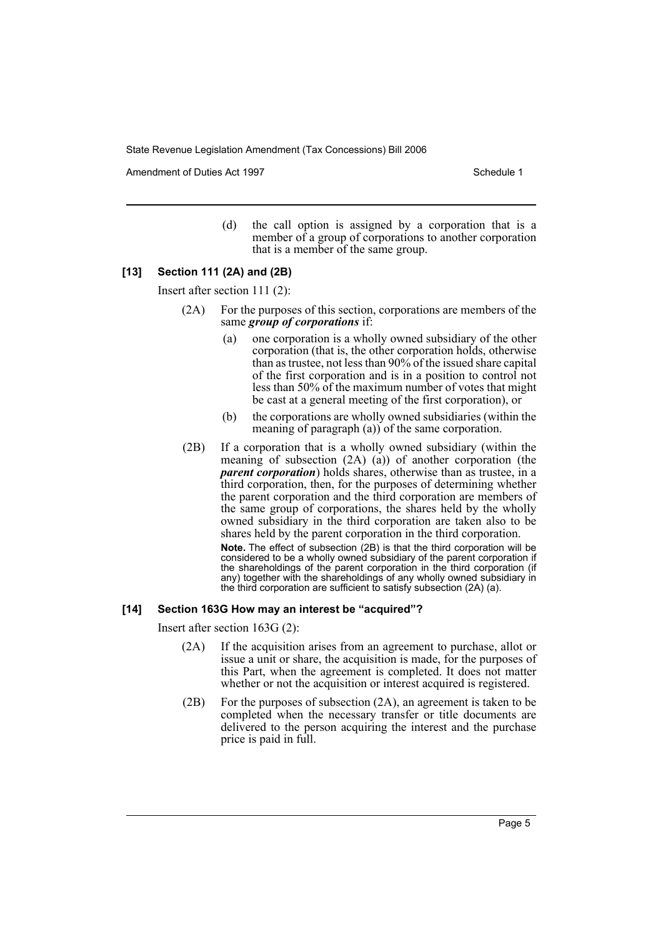Amendment of Duties Act 1997 New York 1997 New York 1997 New York 1997

(d) the call option is assigned by a corporation that is a member of a group of corporations to another corporation that is a member of the same group.

#### **[13] Section 111 (2A) and (2B)**

Insert after section 111 (2):

- (2A) For the purposes of this section, corporations are members of the same *group of corporations* if:
	- (a) one corporation is a wholly owned subsidiary of the other corporation (that is, the other corporation holds, otherwise than as trustee, not less than 90% of the issued share capital of the first corporation and is in a position to control not less than 50% of the maximum number of votes that might be cast at a general meeting of the first corporation), or
	- (b) the corporations are wholly owned subsidiaries (within the meaning of paragraph (a)) of the same corporation.
- (2B) If a corporation that is a wholly owned subsidiary (within the meaning of subsection (2A) (a)) of another corporation (the *parent corporation*) holds shares, otherwise than as trustee, in a third corporation, then, for the purposes of determining whether the parent corporation and the third corporation are members of the same group of corporations, the shares held by the wholly owned subsidiary in the third corporation are taken also to be shares held by the parent corporation in the third corporation.

**Note.** The effect of subsection (2B) is that the third corporation will be considered to be a wholly owned subsidiary of the parent corporation if the shareholdings of the parent corporation in the third corporation (if any) together with the shareholdings of any wholly owned subsidiary in the third corporation are sufficient to satisfy subsection (2A) (a).

#### **[14] Section 163G How may an interest be "acquired"?**

Insert after section 163G (2):

- (2A) If the acquisition arises from an agreement to purchase, allot or issue a unit or share, the acquisition is made, for the purposes of this Part, when the agreement is completed. It does not matter whether or not the acquisition or interest acquired is registered.
- (2B) For the purposes of subsection (2A), an agreement is taken to be completed when the necessary transfer or title documents are delivered to the person acquiring the interest and the purchase price is paid in full.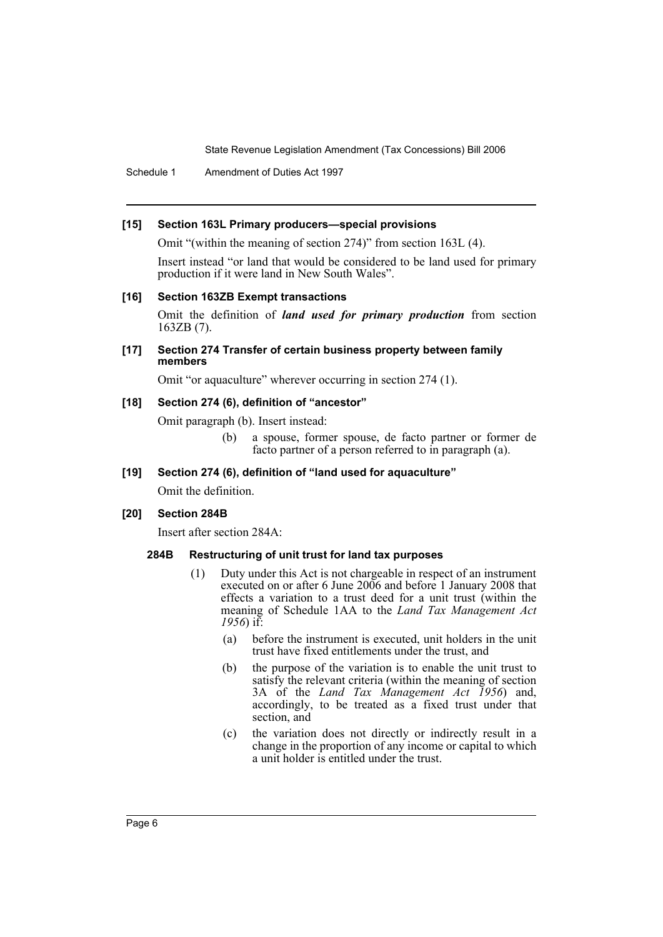Schedule 1 Amendment of Duties Act 1997

#### **[15] Section 163L Primary producers—special provisions**

Omit "(within the meaning of section 274)" from section 163L (4).

Insert instead "or land that would be considered to be land used for primary production if it were land in New South Wales".

#### **[16] Section 163ZB Exempt transactions**

Omit the definition of *land used for primary production* from section 163ZB (7).

#### **[17] Section 274 Transfer of certain business property between family members**

Omit "or aquaculture" wherever occurring in section 274 (1).

#### **[18] Section 274 (6), definition of "ancestor"**

Omit paragraph (b). Insert instead:

(b) a spouse, former spouse, de facto partner or former de facto partner of a person referred to in paragraph (a).

# **[19] Section 274 (6), definition of "land used for aquaculture"**

Omit the definition.

# **[20] Section 284B**

Insert after section 284A:

# **284B Restructuring of unit trust for land tax purposes**

- (1) Duty under this Act is not chargeable in respect of an instrument executed on or after 6 June 2006 and before 1 January 2008 that effects a variation to a trust deed for a unit trust (within the meaning of Schedule 1AA to the *Land Tax Management Act 1956*) if:
	- (a) before the instrument is executed, unit holders in the unit trust have fixed entitlements under the trust, and
	- (b) the purpose of the variation is to enable the unit trust to satisfy the relevant criteria (within the meaning of section 3A of the *Land Tax Management Act 1956*) and, accordingly, to be treated as a fixed trust under that section, and
	- (c) the variation does not directly or indirectly result in a change in the proportion of any income or capital to which a unit holder is entitled under the trust.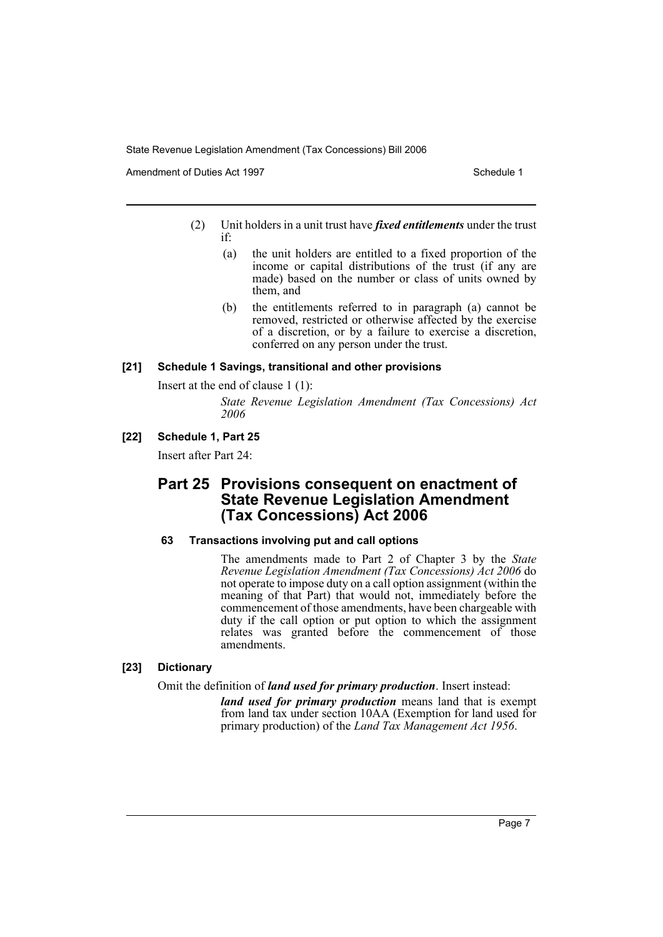Amendment of Duties Act 1997 New York 1997 New York 1997 New York 1997

- (2) Unit holders in a unit trust have *fixed entitlements* under the trust if:
	- (a) the unit holders are entitled to a fixed proportion of the income or capital distributions of the trust (if any are made) based on the number or class of units owned by them, and
	- (b) the entitlements referred to in paragraph (a) cannot be removed, restricted or otherwise affected by the exercise of a discretion, or by a failure to exercise a discretion, conferred on any person under the trust.

#### **[21] Schedule 1 Savings, transitional and other provisions**

Insert at the end of clause 1 (1):

*State Revenue Legislation Amendment (Tax Concessions) Act 2006*

# **[22] Schedule 1, Part 25**

Insert after Part 24:

# **Part 25 Provisions consequent on enactment of State Revenue Legislation Amendment (Tax Concessions) Act 2006**

#### **63 Transactions involving put and call options**

The amendments made to Part 2 of Chapter 3 by the *State Revenue Legislation Amendment (Tax Concessions) Act 2006* do not operate to impose duty on a call option assignment (within the meaning of that Part) that would not, immediately before the commencement of those amendments, have been chargeable with duty if the call option or put option to which the assignment relates was granted before the commencement of those amendments.

# **[23] Dictionary**

Omit the definition of *land used for primary production*. Insert instead:

*land used for primary production* means land that is exempt from land tax under section 10AA (Exemption for land used for primary production) of the *Land Tax Management Act 1956*.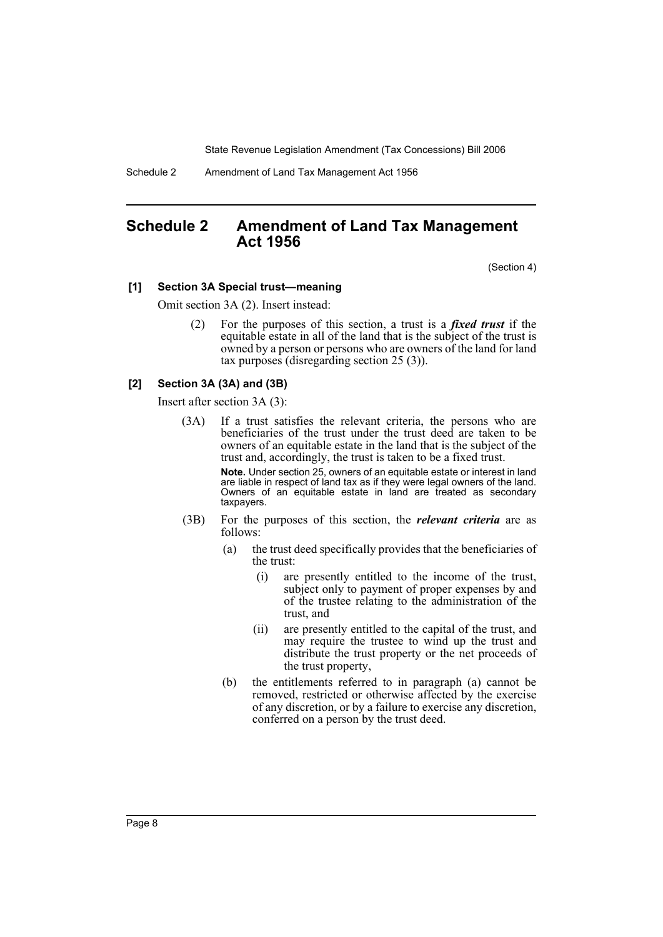Schedule 2 Amendment of Land Tax Management Act 1956

# **Schedule 2 Amendment of Land Tax Management Act 1956**

(Section 4)

#### **[1] Section 3A Special trust—meaning**

Omit section 3A (2). Insert instead:

(2) For the purposes of this section, a trust is a *fixed trust* if the equitable estate in all of the land that is the subject of the trust is owned by a person or persons who are owners of the land for land tax purposes (disregarding section 25 (3)).

#### **[2] Section 3A (3A) and (3B)**

Insert after section 3A (3):

(3A) If a trust satisfies the relevant criteria, the persons who are beneficiaries of the trust under the trust deed are taken to be owners of an equitable estate in the land that is the subject of the trust and, accordingly, the trust is taken to be a fixed trust.

> **Note.** Under section 25, owners of an equitable estate or interest in land are liable in respect of land tax as if they were legal owners of the land. Owners of an equitable estate in land are treated as secondary taxpayers.

- (3B) For the purposes of this section, the *relevant criteria* are as follows:
	- (a) the trust deed specifically provides that the beneficiaries of the trust:
		- (i) are presently entitled to the income of the trust, subject only to payment of proper expenses by and of the trustee relating to the administration of the trust, and
		- (ii) are presently entitled to the capital of the trust, and may require the trustee to wind up the trust and distribute the trust property or the net proceeds of the trust property,
	- (b) the entitlements referred to in paragraph (a) cannot be removed, restricted or otherwise affected by the exercise of any discretion, or by a failure to exercise any discretion, conferred on a person by the trust deed.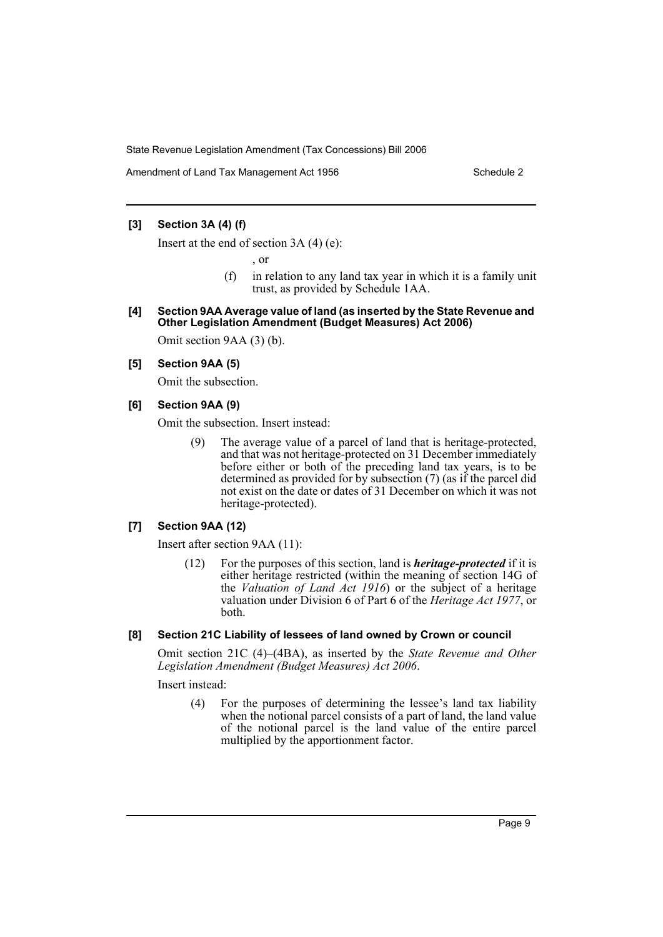Amendment of Land Tax Management Act 1956 Schedule 2

## **[3] Section 3A (4) (f)**

Insert at the end of section 3A (4) (e):

, or

- (f) in relation to any land tax year in which it is a family unit trust, as provided by Schedule 1AA.
- **[4] Section 9AA Average value of land (as inserted by the State Revenue and Other Legislation Amendment (Budget Measures) Act 2006)**

Omit section 9AA (3) (b).

## **[5] Section 9AA (5)**

Omit the subsection.

**[6] Section 9AA (9)**

Omit the subsection. Insert instead:

(9) The average value of a parcel of land that is heritage-protected, and that was not heritage-protected on 31 December immediately before either or both of the preceding land tax years, is to be determined as provided for by subsection (7) (as if the parcel did not exist on the date or dates of 31 December on which it was not heritage-protected).

## **[7] Section 9AA (12)**

Insert after section 9AA (11):

(12) For the purposes of this section, land is *heritage-protected* if it is either heritage restricted (within the meaning of section 14G of the *Valuation of Land Act 1916*) or the subject of a heritage valuation under Division 6 of Part 6 of the *Heritage Act 1977*, or both.

## **[8] Section 21C Liability of lessees of land owned by Crown or council**

Omit section 21C (4)–(4BA), as inserted by the *State Revenue and Other Legislation Amendment (Budget Measures) Act 2006*.

Insert instead:

(4) For the purposes of determining the lessee's land tax liability when the notional parcel consists of a part of land, the land value of the notional parcel is the land value of the entire parcel multiplied by the apportionment factor.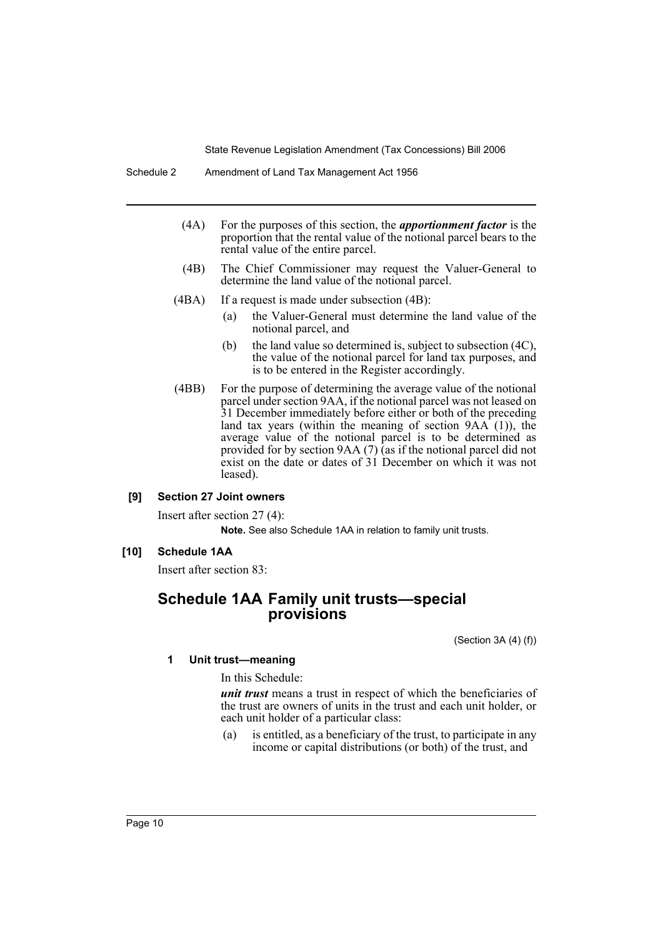- (4A) For the purposes of this section, the *apportionment factor* is the proportion that the rental value of the notional parcel bears to the rental value of the entire parcel.
- (4B) The Chief Commissioner may request the Valuer-General to determine the land value of the notional parcel.
- (4BA) If a request is made under subsection (4B):
	- (a) the Valuer-General must determine the land value of the notional parcel, and
	- (b) the land value so determined is, subject to subsection (4C), the value of the notional parcel for land tax purposes, and is to be entered in the Register accordingly.
- (4BB) For the purpose of determining the average value of the notional parcel under section 9AA, if the notional parcel was not leased on 31 December immediately before either or both of the preceding land tax years (within the meaning of section  $9AA(1)$ ), the average value of the notional parcel is to be determined as provided for by section  $9AA(7)$  (as if the notional parcel did not exist on the date or dates of 31 December on which it was not leased).

### **[9] Section 27 Joint owners**

Insert after section 27 (4): **Note.** See also Schedule 1AA in relation to family unit trusts.

# **[10] Schedule 1AA**

Insert after section 83:

# **Schedule 1AA Family unit trusts—special provisions**

(Section 3A (4) (f))

#### **1 Unit trust—meaning**

In this Schedule:

*unit trust* means a trust in respect of which the beneficiaries of the trust are owners of units in the trust and each unit holder, or each unit holder of a particular class:

(a) is entitled, as a beneficiary of the trust, to participate in any income or capital distributions (or both) of the trust, and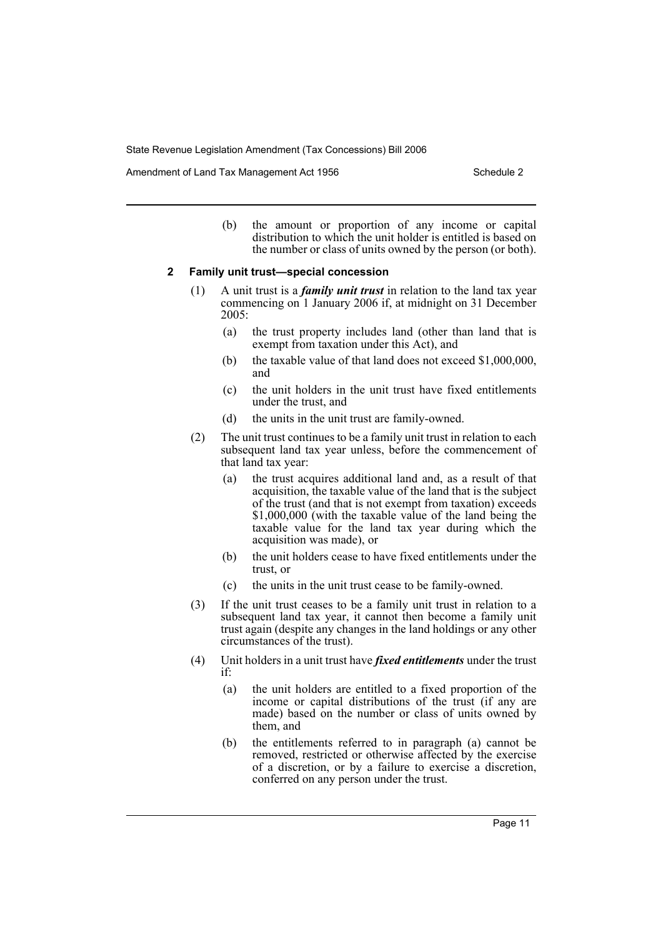Amendment of Land Tax Management Act 1956 Schedule 2

(b) the amount or proportion of any income or capital distribution to which the unit holder is entitled is based on the number or class of units owned by the person (or both).

#### **2 Family unit trust—special concession**

- (1) A unit trust is a *family unit trust* in relation to the land tax year commencing on 1 January 2006 if, at midnight on 31 December 2005:
	- (a) the trust property includes land (other than land that is exempt from taxation under this Act), and
	- (b) the taxable value of that land does not exceed \$1,000,000, and
	- (c) the unit holders in the unit trust have fixed entitlements under the trust, and
	- (d) the units in the unit trust are family-owned.
- (2) The unit trust continues to be a family unit trust in relation to each subsequent land tax year unless, before the commencement of that land tax year:
	- (a) the trust acquires additional land and, as a result of that acquisition, the taxable value of the land that is the subject of the trust (and that is not exempt from taxation) exceeds \$1,000,000 (with the taxable value of the land being the taxable value for the land tax year during which the acquisition was made), or
	- (b) the unit holders cease to have fixed entitlements under the trust, or
	- (c) the units in the unit trust cease to be family-owned.
- (3) If the unit trust ceases to be a family unit trust in relation to a subsequent land tax year, it cannot then become a family unit trust again (despite any changes in the land holdings or any other circumstances of the trust).
- (4) Unit holders in a unit trust have *fixed entitlements* under the trust if:
	- (a) the unit holders are entitled to a fixed proportion of the income or capital distributions of the trust (if any are made) based on the number or class of units owned by them, and
	- (b) the entitlements referred to in paragraph (a) cannot be removed, restricted or otherwise affected by the exercise of a discretion, or by a failure to exercise a discretion, conferred on any person under the trust.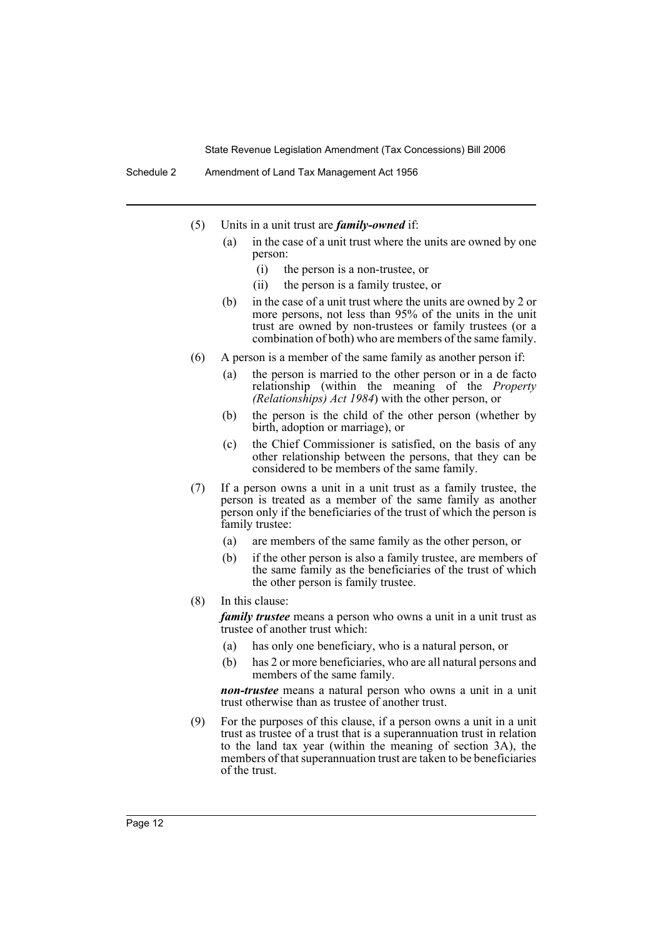- (5) Units in a unit trust are *family-owned* if:
	- (a) in the case of a unit trust where the units are owned by one person:
		- (i) the person is a non-trustee, or
		- (ii) the person is a family trustee, or
	- (b) in the case of a unit trust where the units are owned by 2 or more persons, not less than 95% of the units in the unit trust are owned by non-trustees or family trustees (or a combination of both) who are members of the same family.
- (6) A person is a member of the same family as another person if:
	- (a) the person is married to the other person or in a de facto relationship (within the meaning of the *Property (Relationships) Act 1984*) with the other person, or
	- (b) the person is the child of the other person (whether by birth, adoption or marriage), or
	- (c) the Chief Commissioner is satisfied, on the basis of any other relationship between the persons, that they can be considered to be members of the same family.
- (7) If a person owns a unit in a unit trust as a family trustee, the person is treated as a member of the same family as another person only if the beneficiaries of the trust of which the person is family trustee:
	- (a) are members of the same family as the other person, or
	- (b) if the other person is also a family trustee, are members of the same family as the beneficiaries of the trust of which the other person is family trustee.
- (8) In this clause:

*family trustee* means a person who owns a unit in a unit trust as trustee of another trust which:

- (a) has only one beneficiary, who is a natural person, or
- (b) has 2 or more beneficiaries, who are all natural persons and members of the same family.

*non-trustee* means a natural person who owns a unit in a unit trust otherwise than as trustee of another trust.

(9) For the purposes of this clause, if a person owns a unit in a unit trust as trustee of a trust that is a superannuation trust in relation to the land tax year (within the meaning of section 3A), the members of that superannuation trust are taken to be beneficiaries of the trust.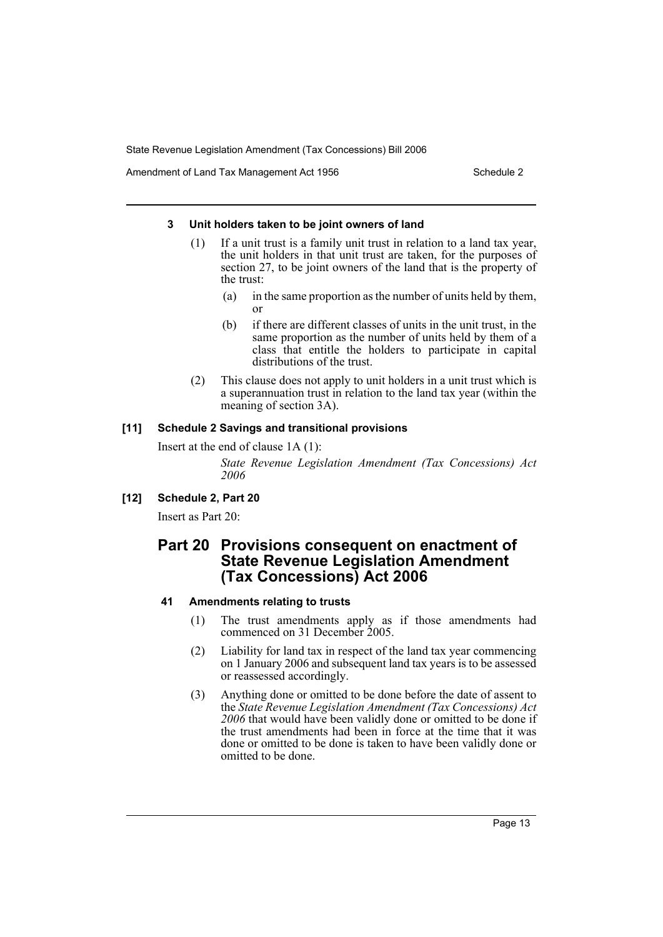Amendment of Land Tax Management Act 1956 Schedule 2

#### **3 Unit holders taken to be joint owners of land**

- (1) If a unit trust is a family unit trust in relation to a land tax year, the unit holders in that unit trust are taken, for the purposes of section 27, to be joint owners of the land that is the property of the trust:
	- (a) in the same proportion as the number of units held by them, or
	- (b) if there are different classes of units in the unit trust, in the same proportion as the number of units held by them of a class that entitle the holders to participate in capital distributions of the trust.
- (2) This clause does not apply to unit holders in a unit trust which is a superannuation trust in relation to the land tax year (within the meaning of section 3A).

# **[11] Schedule 2 Savings and transitional provisions**

Insert at the end of clause 1A (1):

*State Revenue Legislation Amendment (Tax Concessions) Act 2006*

**[12] Schedule 2, Part 20**

Insert as Part 20:

# **Part 20 Provisions consequent on enactment of State Revenue Legislation Amendment (Tax Concessions) Act 2006**

# **41 Amendments relating to trusts**

- (1) The trust amendments apply as if those amendments had commenced on 31 December 2005.
- (2) Liability for land tax in respect of the land tax year commencing on 1 January 2006 and subsequent land tax years is to be assessed or reassessed accordingly.
- (3) Anything done or omitted to be done before the date of assent to the *State Revenue Legislation Amendment (Tax Concessions) Act 2006* that would have been validly done or omitted to be done if the trust amendments had been in force at the time that it was done or omitted to be done is taken to have been validly done or omitted to be done.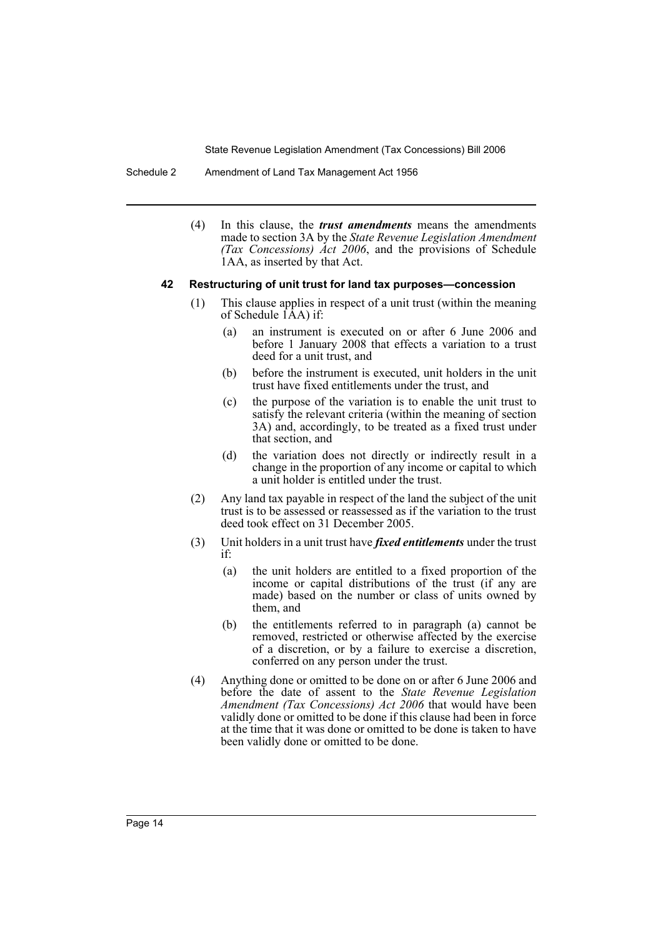Schedule 2 Amendment of Land Tax Management Act 1956

(4) In this clause, the *trust amendments* means the amendments made to section 3A by the *State Revenue Legislation Amendment (Tax Concessions) Act 2006*, and the provisions of Schedule 1AA, as inserted by that Act.

#### **42 Restructuring of unit trust for land tax purposes—concession**

- (1) This clause applies in respect of a unit trust (within the meaning of Schedule  $\overline{A}A$ ) if:
	- (a) an instrument is executed on or after 6 June 2006 and before 1 January 2008 that effects a variation to a trust deed for a unit trust, and
	- (b) before the instrument is executed, unit holders in the unit trust have fixed entitlements under the trust, and
	- (c) the purpose of the variation is to enable the unit trust to satisfy the relevant criteria (within the meaning of section 3A) and, accordingly, to be treated as a fixed trust under that section, and
	- (d) the variation does not directly or indirectly result in a change in the proportion of any income or capital to which a unit holder is entitled under the trust.
- (2) Any land tax payable in respect of the land the subject of the unit trust is to be assessed or reassessed as if the variation to the trust deed took effect on 31 December 2005.
- (3) Unit holders in a unit trust have *fixed entitlements* under the trust if:
	- (a) the unit holders are entitled to a fixed proportion of the income or capital distributions of the trust (if any are made) based on the number or class of units owned by them, and
	- (b) the entitlements referred to in paragraph (a) cannot be removed, restricted or otherwise affected by the exercise of a discretion, or by a failure to exercise a discretion, conferred on any person under the trust.
- (4) Anything done or omitted to be done on or after 6 June 2006 and before the date of assent to the *State Revenue Legislation Amendment (Tax Concessions) Act 2006* that would have been validly done or omitted to be done if this clause had been in force at the time that it was done or omitted to be done is taken to have been validly done or omitted to be done.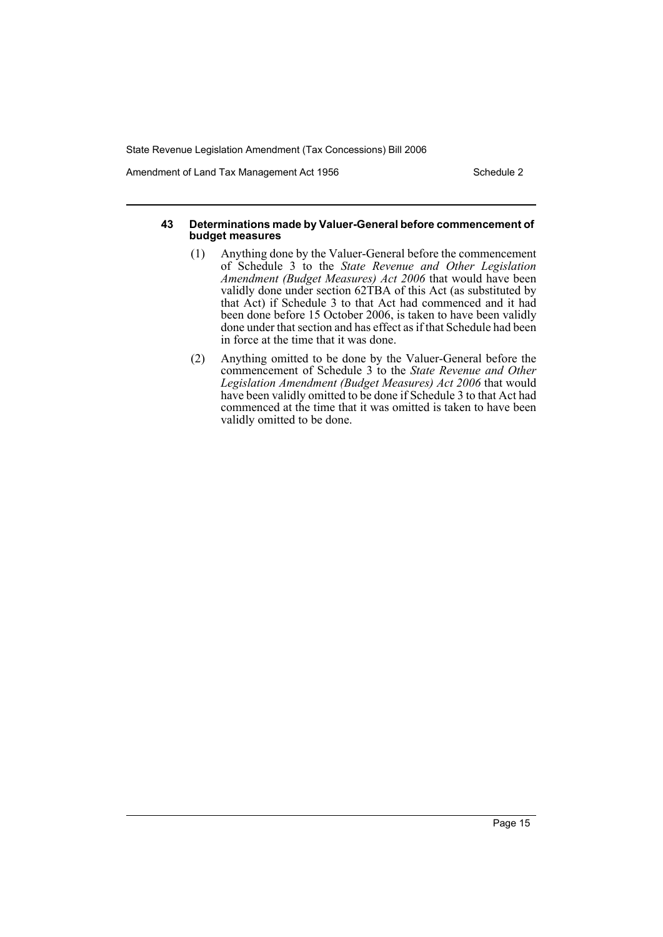Amendment of Land Tax Management Act 1956 Schedule 2

#### **43 Determinations made by Valuer-General before commencement of budget measures**

- (1) Anything done by the Valuer-General before the commencement of Schedule 3 to the *State Revenue and Other Legislation Amendment (Budget Measures) Act 2006* that would have been validly done under section 62TBA of this Act (as substituted by that Act) if Schedule 3 to that Act had commenced and it had been done before 15 October 2006, is taken to have been validly done under that section and has effect as if that Schedule had been in force at the time that it was done.
- (2) Anything omitted to be done by the Valuer-General before the commencement of Schedule 3 to the *State Revenue and Other Legislation Amendment (Budget Measures) Act 2006* that would have been validly omitted to be done if Schedule 3 to that Act had commenced at the time that it was omitted is taken to have been validly omitted to be done.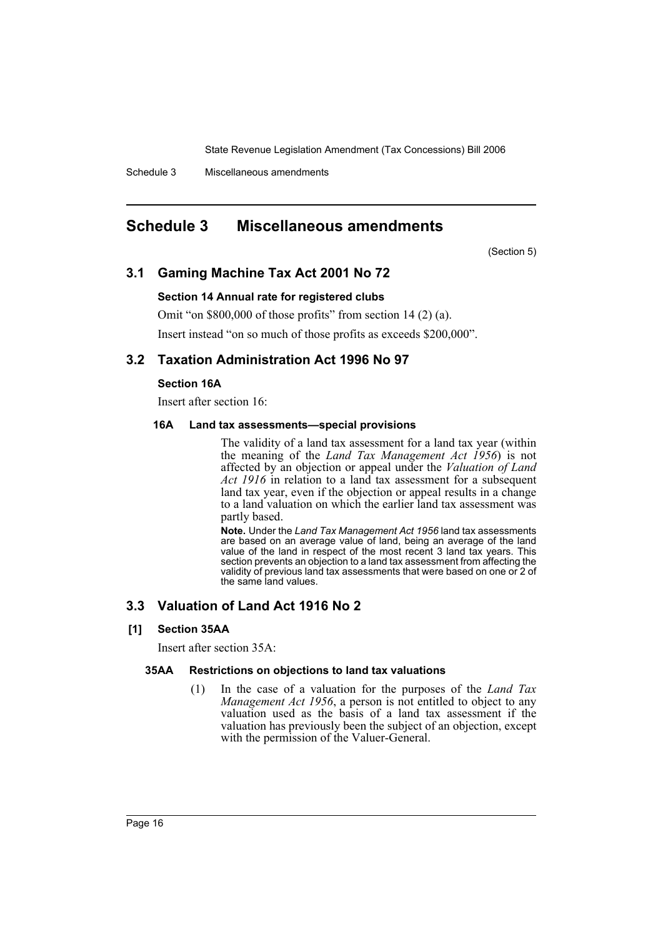Schedule 3 Miscellaneous amendments

# **Schedule 3 Miscellaneous amendments**

(Section 5)

# **3.1 Gaming Machine Tax Act 2001 No 72**

## **Section 14 Annual rate for registered clubs**

Omit "on \$800,000 of those profits" from section 14 (2) (a).

Insert instead "on so much of those profits as exceeds \$200,000".

# **3.2 Taxation Administration Act 1996 No 97**

# **Section 16A**

Insert after section 16:

#### **16A Land tax assessments—special provisions**

The validity of a land tax assessment for a land tax year (within the meaning of the *Land Tax Management Act 1956*) is not affected by an objection or appeal under the *Valuation of Land Act 1916* in relation to a land tax assessment for a subsequent land tax year, even if the objection or appeal results in a change to a land valuation on which the earlier land tax assessment was partly based.

**Note.** Under the *Land Tax Management Act 1956* land tax assessments are based on an average value of land, being an average of the land value of the land in respect of the most recent 3 land tax years. This section prevents an objection to a land tax assessment from affecting the validity of previous land tax assessments that were based on one or 2 of the same land values.

# **3.3 Valuation of Land Act 1916 No 2**

# **[1] Section 35AA**

Insert after section 35A:

#### **35AA Restrictions on objections to land tax valuations**

(1) In the case of a valuation for the purposes of the *Land Tax Management Act 1956*, a person is not entitled to object to any valuation used as the basis of a land tax assessment if the valuation has previously been the subject of an objection, except with the permission of the Valuer-General.